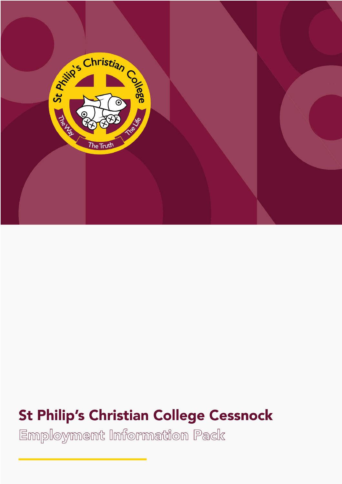

# **St Philip's Christian College Cessnock**

Employment Information Pack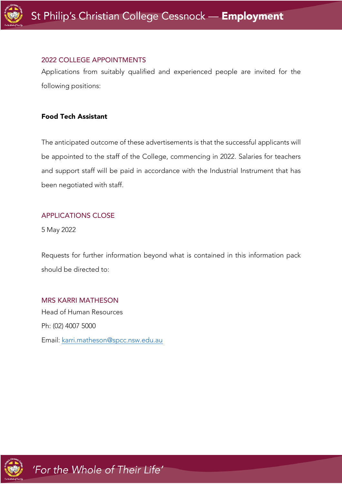

#### 2022 COLLEGE APPOINTMENTS

Applications from suitably qualified and experienced people are invited for the following positions:

# Food Tech Assistant

The anticipated outcome of these advertisements is that the successful applicants will be appointed to the staff of the College, commencing in 2022. Salaries for teachers and support staff will be paid in accordance with the Industrial Instrument that has been negotiated with staff.

#### APPLICATIONS CLOSE

5 May 2022

Requests for further information beyond what is contained in this information pack should be directed to:

# MRS KARRI MATHESON

Head of Human Resources Ph: (02) 4007 5000 Email: karri.matheson@spcc.nsw.edu.au

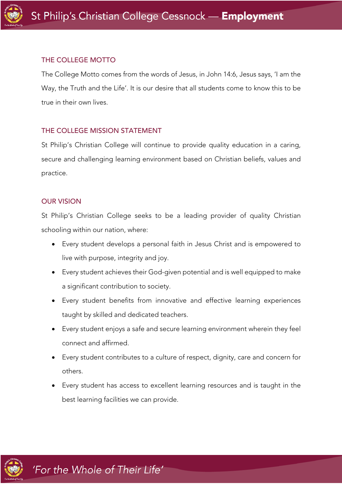

#### THE COLLEGE MOTTO

The College Motto comes from the words of Jesus, in John 14:6, Jesus says, 'I am the Way, the Truth and the Life'. It is our desire that all students come to know this to be true in their own lives.

#### THE COLLEGE MISSION STATEMENT

St Philip's Christian College will continue to provide quality education in a caring, secure and challenging learning environment based on Christian beliefs, values and practice.

#### OUR VISION

St Philip's Christian College seeks to be a leading provider of quality Christian schooling within our nation, where:

- Every student develops a personal faith in Jesus Christ and is empowered to live with purpose, integrity and joy.
- Every student achieves their God-given potential and is well equipped to make a significant contribution to society.
- Every student benefits from innovative and effective learning experiences taught by skilled and dedicated teachers.
- Every student enjoys a safe and secure learning environment wherein they feel connect and affirmed.
- Every student contributes to a culture of respect, dignity, care and concern for others.
- Every student has access to excellent learning resources and is taught in the best learning facilities we can provide.

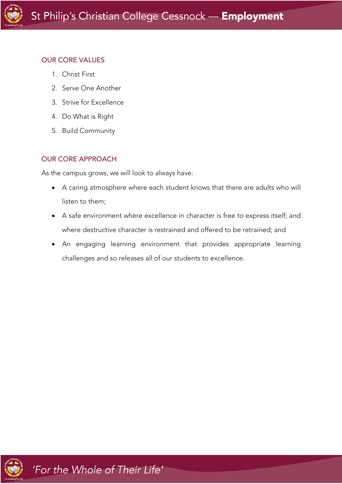# OUR CORE VALUES

- 1. Christ First
- 2. Serve One Another
- 3. Strive for Excellence
- 4. Do What is Right
- 5. Build Community

# OUR CORE APPROACH

As the campus grows, we will look to always have:

- A caring atmosphere where each student knows that there are adults who will listen to them;
- A safe environment where excellence in character is free to express itself; and where destructive character is restrained and offered to be retrained; and
- An engaging learning environment that provides appropriate learning challenges and so releases all of our students to excellence.

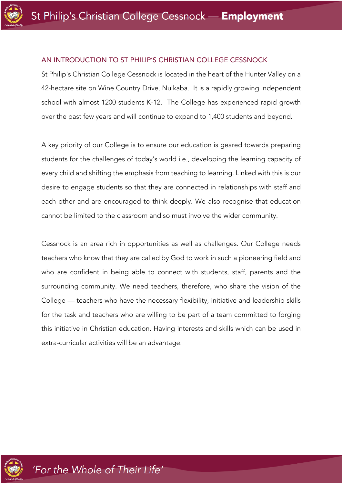

#### AN INTRODUCTION TO ST PHILIP'S CHRISTIAN COLLEGE CESSNOCK

St Philip's Christian College Cessnock is located in the heart of the Hunter Valley on a 42-hectare site on Wine Country Drive, Nulkaba. It is a rapidly growing Independent school with almost 1200 students K-12. The College has experienced rapid growth over the past few years and will continue to expand to 1,400 students and beyond.

A key priority of our College is to ensure our education is geared towards preparing students for the challenges of today's world i.e., developing the learning capacity of every child and shifting the emphasis from teaching to learning. Linked with this is our desire to engage students so that they are connected in relationships with staff and each other and are encouraged to think deeply. We also recognise that education cannot be limited to the classroom and so must involve the wider community.

Cessnock is an area rich in opportunities as well as challenges. Our College needs teachers who know that they are called by God to work in such a pioneering field and who are confident in being able to connect with students, staff, parents and the surrounding community. We need teachers, therefore, who share the vision of the College — teachers who have the necessary flexibility, initiative and leadership skills for the task and teachers who are willing to be part of a team committed to forging this initiative in Christian education. Having interests and skills which can be used in extra-curricular activities will be an advantage.

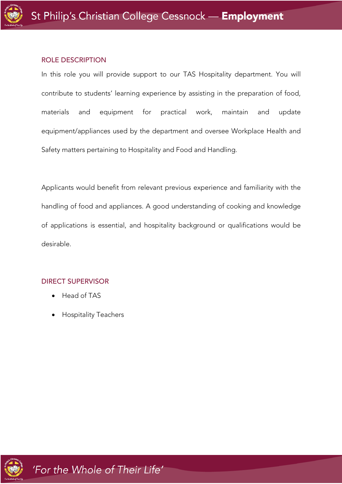

#### ROLE DESCRIPTION

In this role you will provide support to our TAS Hospitality department. You will contribute to students' learning experience by assisting in the preparation of food, materials and equipment for practical work, maintain and update equipment/appliances used by the department and oversee Workplace Health and Safety matters pertaining to Hospitality and Food and Handling.

Applicants would benefit from relevant previous experience and familiarity with the handling of food and appliances. A good understanding of cooking and knowledge of applications is essential, and hospitality background or qualifications would be desirable.

# DIRECT SUPERVISOR

- Head of TAS
- Hospitality Teachers

'For the Whole of Their Life'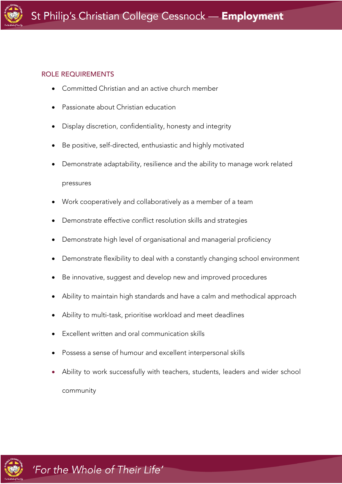# ROLE REQUIREMENTS

- Committed Christian and an active church member
- Passionate about Christian education
- Display discretion, confidentiality, honesty and integrity
- Be positive, self-directed, enthusiastic and highly motivated
- Demonstrate adaptability, resilience and the ability to manage work related pressures
- Work cooperatively and collaboratively as a member of a team
- Demonstrate effective conflict resolution skills and strategies
- Demonstrate high level of organisational and managerial proficiency
- Demonstrate flexibility to deal with a constantly changing school environment
- Be innovative, suggest and develop new and improved procedures
- Ability to maintain high standards and have a calm and methodical approach
- Ability to multi-task, prioritise workload and meet deadlines
- Excellent written and oral communication skills
- Possess a sense of humour and excellent interpersonal skills
- Ability to work successfully with teachers, students, leaders and wider school community